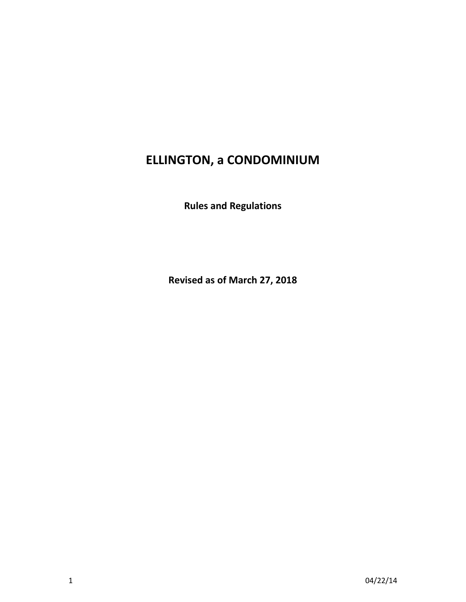# **ELLINGTON, a CONDOMINIUM**

**Rules and Regulations**

**Revised as of March 27, 2018**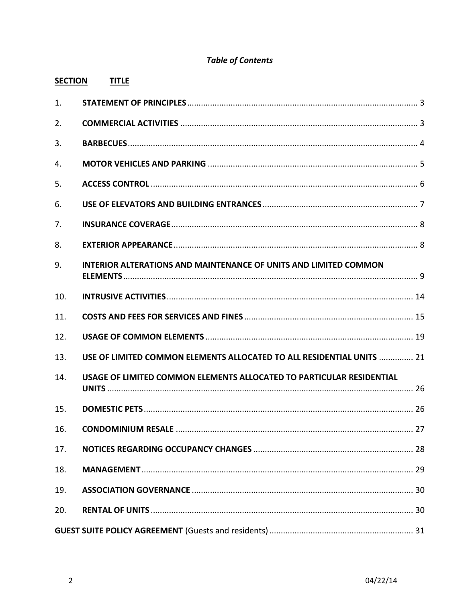# **Table of Contents**

| <b>SECTION</b> | <b>TITLE</b>                                                            |
|----------------|-------------------------------------------------------------------------|
| 1.             |                                                                         |
| 2.             |                                                                         |
| 3.             |                                                                         |
| 4.             |                                                                         |
| 5.             |                                                                         |
| 6.             |                                                                         |
| 7.             |                                                                         |
| 8.             |                                                                         |
| 9.             | <b>INTERIOR ALTERATIONS AND MAINTENANCE OF UNITS AND LIMITED COMMON</b> |
| 10.            |                                                                         |
| 11.            |                                                                         |
| 12.            |                                                                         |
| 13.            | USE OF LIMITED COMMON ELEMENTS ALLOCATED TO ALL RESIDENTIAL UNITS  21   |
| 14.            | USAGE OF LIMITED COMMON ELEMENTS ALLOCATED TO PARTICULAR RESIDENTIAL    |
| 15.            |                                                                         |
| 16.            |                                                                         |
| 17.            |                                                                         |
| 18.            |                                                                         |
| 19.            |                                                                         |
| 20.            |                                                                         |
|                |                                                                         |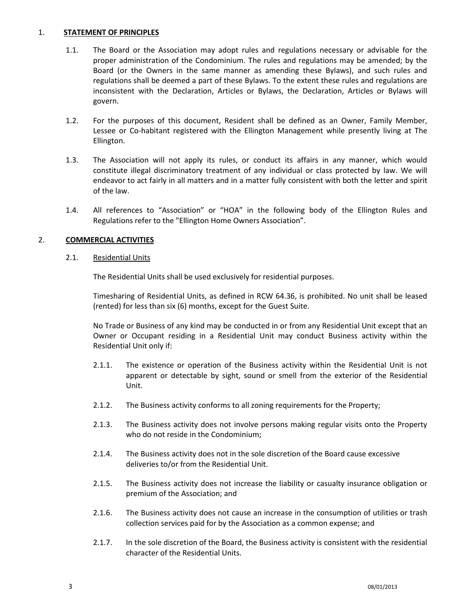#### <span id="page-2-0"></span>1. **STATEMENT OF PRINCIPLES**

- 1.1. The Board or the Association may adopt rules and regulations necessary or advisable for the proper administration of the Condominium. The rules and regulations may be amended; by the Board (or the Owners in the same manner as amending these Bylaws), and such rules and regulations shall be deemed a part of these Bylaws. To the extent these rules and regulations are inconsistent with the Declaration, Articles or Bylaws, the Declaration, Articles or Bylaws will govern.
- 1.2. For the purposes of this document, Resident shall be defined as an Owner, Family Member, Lessee or Co-habitant registered with the Ellington Management while presently living at The Ellington.
- 1.3. The Association will not apply its rules, or conduct its affairs in any manner, which would constitute illegal discriminatory treatment of any individual or class protected by law. We will endeavor to act fairly in all matters and in a matter fully consistent with both the letter and spirit of the law.
- 1.4. All references to "Association" or "HOA" in the following body of the Ellington Rules and Regulations refer to the "Ellington Home Owners Association".

# <span id="page-2-1"></span>2. **COMMERCIAL ACTIVITIES**

#### 2.1. Residential Units

The Residential Units shall be used exclusively for residential purposes.

Timesharing of Residential Units, as defined in RCW 64.36, is prohibited. No unit shall be leased (rented) for less than six (6) months, except for the Guest Suite.

No Trade or Business of any kind may be conducted in or from any Residential Unit except that an Owner or Occupant residing in a Residential Unit may conduct Business activity within the Residential Unit only if:

- 2.1.1. The existence or operation of the Business activity within the Residential Unit is not apparent or detectable by sight, sound or smell from the exterior of the Residential Unit.
- 2.1.2. The Business activity conforms to all zoning requirements for the Property;
- 2.1.3. The Business activity does not involve persons making regular visits onto the Property who do not reside in the Condominium;
- 2.1.4. The Business activity does not in the sole discretion of the Board cause excessive deliveries to/or from the Residential Unit.
- 2.1.5. The Business activity does not increase the liability or casualty insurance obligation or premium of the Association; and
- 2.1.6. The Business activity does not cause an increase in the consumption of utilities or trash collection services paid for by the Association as a common expense; and
- 2.1.7. In the sole discretion of the Board, the Business activity is consistent with the residential character of the Residential Units.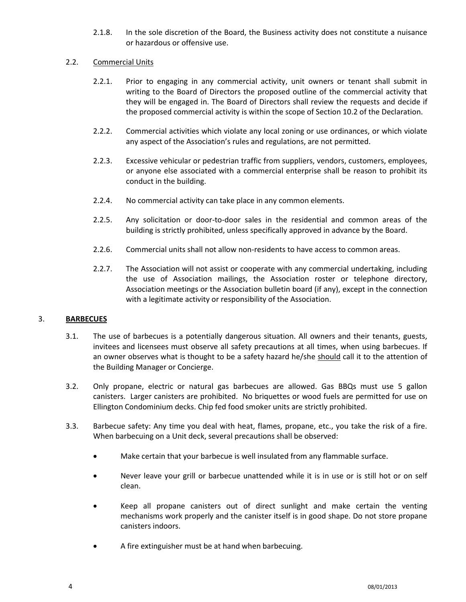2.1.8. In the sole discretion of the Board, the Business activity does not constitute a nuisance or hazardous or offensive use.

#### 2.2. Commercial Units

- 2.2.1. Prior to engaging in any commercial activity, unit owners or tenant shall submit in writing to the Board of Directors the proposed outline of the commercial activity that they will be engaged in. The Board of Directors shall review the requests and decide if the proposed commercial activity is within the scope of Section 10.2 of the Declaration.
- 2.2.2. Commercial activities which violate any local zoning or use ordinances, or which violate any aspect of the Association's rules and regulations, are not permitted.
- 2.2.3. Excessive vehicular or pedestrian traffic from suppliers, vendors, customers, employees, or anyone else associated with a commercial enterprise shall be reason to prohibit its conduct in the building.
- 2.2.4. No commercial activity can take place in any common elements.
- 2.2.5. Any solicitation or door-to-door sales in the residential and common areas of the building is strictly prohibited, unless specifically approved in advance by the Board.
- 2.2.6. Commercial units shall not allow non-residents to have access to common areas.
- 2.2.7. The Association will not assist or cooperate with any commercial undertaking, including the use of Association mailings, the Association roster or telephone directory, Association meetings or the Association bulletin board (if any), except in the connection with a legitimate activity or responsibility of the Association.

# <span id="page-3-0"></span>3. **BARBECUES**

- 3.1. The use of barbecues is a potentially dangerous situation. All owners and their tenants, guests, invitees and licensees must observe all safety precautions at all times, when using barbecues. If an owner observes what is thought to be a safety hazard he/she should call it to the attention of the Building Manager or Concierge.
- 3.2. Only propane, electric or natural gas barbecues are allowed. Gas BBQs must use 5 gallon canisters. Larger canisters are prohibited. No briquettes or wood fuels are permitted for use on Ellington Condominium decks. Chip fed food smoker units are strictly prohibited.
- 3.3. Barbecue safety: Any time you deal with heat, flames, propane, etc., you take the risk of a fire. When barbecuing on a Unit deck, several precautions shall be observed:
	- Make certain that your barbecue is well insulated from any flammable surface.
	- Never leave your grill or barbecue unattended while it is in use or is still hot or on self clean.
	- Keep all propane canisters out of direct sunlight and make certain the venting mechanisms work properly and the canister itself is in good shape. Do not store propane canisters indoors.
	- A fire extinguisher must be at hand when barbecuing.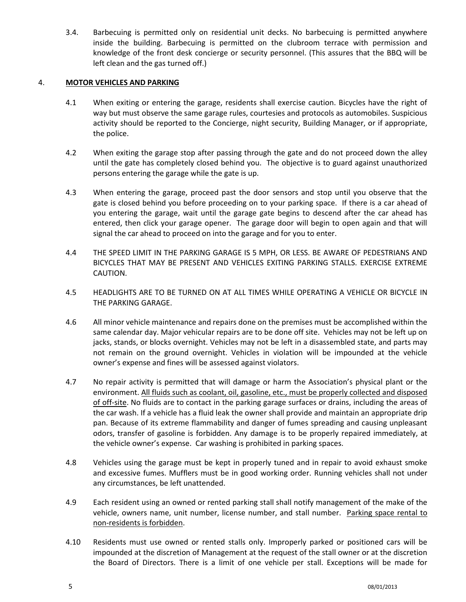3.4. Barbecuing is permitted only on residential unit decks. No barbecuing is permitted anywhere inside the building. Barbecuing is permitted on the clubroom terrace with permission and knowledge of the front desk concierge or security personnel. (This assures that the BBQ will be left clean and the gas turned off.)

# <span id="page-4-0"></span>4. **MOTOR VEHICLES AND PARKING**

- 4.1 When exiting or entering the garage, residents shall exercise caution. Bicycles have the right of way but must observe the same garage rules, courtesies and protocols as automobiles. Suspicious activity should be reported to the Concierge, night security, Building Manager, or if appropriate, the police.
- 4.2 When exiting the garage stop after passing through the gate and do not proceed down the alley until the gate has completely closed behind you. The objective is to guard against unauthorized persons entering the garage while the gate is up.
- 4.3 When entering the garage, proceed past the door sensors and stop until you observe that the gate is closed behind you before proceeding on to your parking space. If there is a car ahead of you entering the garage, wait until the garage gate begins to descend after the car ahead has entered, then click your garage opener. The garage door will begin to open again and that will signal the car ahead to proceed on into the garage and for you to enter.
- 4.4 THE SPEED LIMIT IN THE PARKING GARAGE IS 5 MPH, OR LESS. BE AWARE OF PEDESTRIANS AND BICYCLES THAT MAY BE PRESENT AND VEHICLES EXITING PARKING STALLS. EXERCISE EXTREME CAUTION.
- 4.5 HEADLIGHTS ARE TO BE TURNED ON AT ALL TIMES WHILE OPERATING A VEHICLE OR BICYCLE IN THE PARKING GARAGE.
- 4.6 All minor vehicle maintenance and repairs done on the premises must be accomplished within the same calendar day. Major vehicular repairs are to be done off site. Vehicles may not be left up on jacks, stands, or blocks overnight. Vehicles may not be left in a disassembled state, and parts may not remain on the ground overnight. Vehicles in violation will be impounded at the vehicle owner's expense and fines will be assessed against violators.
- 4.7 No repair activity is permitted that will damage or harm the Association's physical plant or the environment. All fluids such as coolant, oil, gasoline, etc., must be properly collected and disposed of off-site. No fluids are to contact in the parking garage surfaces or drains, including the areas of the car wash. If a vehicle has a fluid leak the owner shall provide and maintain an appropriate drip pan. Because of its extreme flammability and danger of fumes spreading and causing unpleasant odors, transfer of gasoline is forbidden. Any damage is to be properly repaired immediately, at the vehicle owner's expense. Car washing is prohibited in parking spaces.
- 4.8 Vehicles using the garage must be kept in properly tuned and in repair to avoid exhaust smoke and excessive fumes. Mufflers must be in good working order. Running vehicles shall not under any circumstances, be left unattended.
- 4.9 Each resident using an owned or rented parking stall shall notify management of the make of the vehicle, owners name, unit number, license number, and stall number. Parking space rental to non-residents is forbidden.
- 4.10 Residents must use owned or rented stalls only. Improperly parked or positioned cars will be impounded at the discretion of Management at the request of the stall owner or at the discretion the Board of Directors. There is a limit of one vehicle per stall. Exceptions will be made for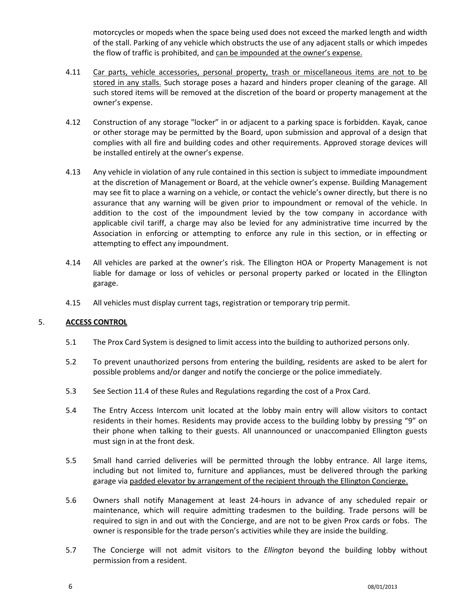motorcycles or mopeds when the space being used does not exceed the marked length and width of the stall. Parking of any vehicle which obstructs the use of any adjacent stalls or which impedes the flow of traffic is prohibited, and can be impounded at the owner's expense.

- 4.11 Car parts, vehicle accessories, personal property, trash or miscellaneous items are not to be stored in any stalls. Such storage poses a hazard and hinders proper cleaning of the garage. All such stored items will be removed at the discretion of the board or property management at the owner's expense.
- 4.12 Construction of any storage "locker" in or adjacent to a parking space is forbidden. Kayak, canoe or other storage may be permitted by the Board, upon submission and approval of a design that complies with all fire and building codes and other requirements. Approved storage devices will be installed entirely at the owner's expense.
- 4.13 Any vehicle in violation of any rule contained in this section is subject to immediate impoundment at the discretion of Management or Board, at the vehicle owner's expense. Building Management may see fit to place a warning on a vehicle, or contact the vehicle's owner directly, but there is no assurance that any warning will be given prior to impoundment or removal of the vehicle. In addition to the cost of the impoundment levied by the tow company in accordance with applicable civil tariff, a charge may also be levied for any administrative time incurred by the Association in enforcing or attempting to enforce any rule in this section, or in effecting or attempting to effect any impoundment.
- 4.14 All vehicles are parked at the owner's risk. The Ellington HOA or Property Management is not liable for damage or loss of vehicles or personal property parked or located in the Ellington garage.
- 4.15 All vehicles must display current tags, registration or temporary trip permit.

# <span id="page-5-0"></span>5. **ACCESS CONTROL**

- 5.1 The Prox Card System is designed to limit access into the building to authorized persons only.
- 5.2 To prevent unauthorized persons from entering the building, residents are asked to be alert for possible problems and/or danger and notify the concierge or the police immediately.
- 5.3 See Section 11.4 of these Rules and Regulations regarding the cost of a Prox Card.
- 5.4 The Entry Access Intercom unit located at the lobby main entry will allow visitors to contact residents in their homes. Residents may provide access to the building lobby by pressing "9" on their phone when talking to their guests. All unannounced or unaccompanied Ellington guests must sign in at the front desk.
- 5.5 Small hand carried deliveries will be permitted through the lobby entrance. All large items, including but not limited to, furniture and appliances, must be delivered through the parking garage via padded elevator by arrangement of the recipient through the Ellington Concierge.
- 5.6 Owners shall notify Management at least 24-hours in advance of any scheduled repair or maintenance, which will require admitting tradesmen to the building. Trade persons will be required to sign in and out with the Concierge, and are not to be given Prox cards or fobs. The owner is responsible for the trade person's activities while they are inside the building.
- 5.7 The Concierge will not admit visitors to the *Ellington* beyond the building lobby without permission from a resident.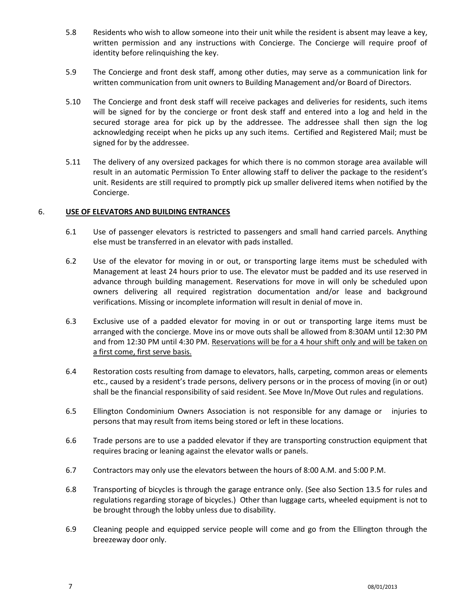- 5.8 Residents who wish to allow someone into their unit while the resident is absent may leave a key, written permission and any instructions with Concierge. The Concierge will require proof of identity before relinquishing the key.
- 5.9 The Concierge and front desk staff, among other duties, may serve as a communication link for written communication from unit owners to Building Management and/or Board of Directors.
- 5.10 The Concierge and front desk staff will receive packages and deliveries for residents, such items will be signed for by the concierge or front desk staff and entered into a log and held in the secured storage area for pick up by the addressee. The addressee shall then sign the log acknowledging receipt when he picks up any such items. Certified and Registered Mail; must be signed for by the addressee.
- 5.11 The delivery of any oversized packages for which there is no common storage area available will result in an automatic Permission To Enter allowing staff to deliver the package to the resident's unit. Residents are still required to promptly pick up smaller delivered items when notified by the Concierge.

#### <span id="page-6-0"></span>6. **USE OF ELEVATORS AND BUILDING ENTRANCES**

- 6.1 Use of passenger elevators is restricted to passengers and small hand carried parcels. Anything else must be transferred in an elevator with pads installed.
- 6.2 Use of the elevator for moving in or out, or transporting large items must be scheduled with Management at least 24 hours prior to use. The elevator must be padded and its use reserved in advance through building management. Reservations for move in will only be scheduled upon owners delivering all required registration documentation and/or lease and background verifications. Missing or incomplete information will result in denial of move in.
- 6.3 Exclusive use of a padded elevator for moving in or out or transporting large items must be arranged with the concierge. Move ins or move outs shall be allowed from 8:30AM until 12:30 PM and from 12:30 PM until 4:30 PM. Reservations will be for a 4 hour shift only and will be taken on a first come, first serve basis.
- 6.4 Restoration costs resulting from damage to elevators, halls, carpeting, common areas or elements etc., caused by a resident's trade persons, delivery persons or in the process of moving (in or out) shall be the financial responsibility of said resident. See Move In/Move Out rules and regulations.
- 6.5 Ellington Condominium Owners Association is not responsible for any damage or injuries to persons that may result from items being stored or left in these locations.
- 6.6 Trade persons are to use a padded elevator if they are transporting construction equipment that requires bracing or leaning against the elevator walls or panels.
- 6.7 Contractors may only use the elevators between the hours of 8:00 A.M. and 5:00 P.M.
- 6.8 Transporting of bicycles is through the garage entrance only. (See also Section 13.5 for rules and regulations regarding storage of bicycles.) Other than luggage carts, wheeled equipment is not to be brought through the lobby unless due to disability.
- 6.9 Cleaning people and equipped service people will come and go from the Ellington through the breezeway door only.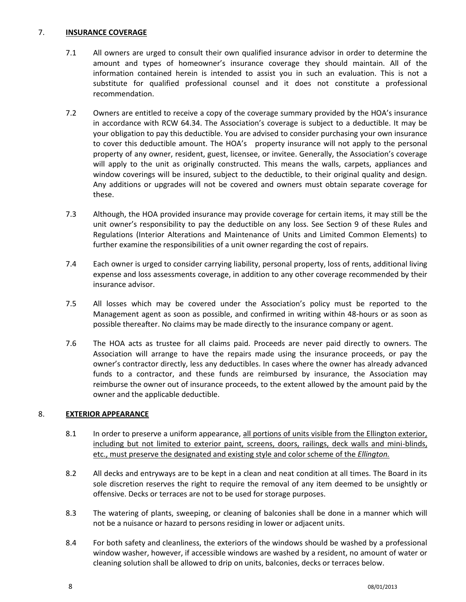#### <span id="page-7-0"></span>7. **INSURANCE COVERAGE**

- 7.1 All owners are urged to consult their own qualified insurance advisor in order to determine the amount and types of homeowner's insurance coverage they should maintain. All of the information contained herein is intended to assist you in such an evaluation. This is not a substitute for qualified professional counsel and it does not constitute a professional recommendation.
- 7.2 Owners are entitled to receive a copy of the coverage summary provided by the HOA's insurance in accordance with RCW 64.34. The Association's coverage is subject to a deductible. It may be your obligation to pay this deductible. You are advised to consider purchasing your own insurance to cover this deductible amount. The HOA's property insurance will not apply to the personal property of any owner, resident, guest, licensee, or invitee. Generally, the Association's coverage will apply to the unit as originally constructed. This means the walls, carpets, appliances and window coverings will be insured, subject to the deductible, to their original quality and design. Any additions or upgrades will not be covered and owners must obtain separate coverage for these.
- 7.3 Although, the HOA provided insurance may provide coverage for certain items, it may still be the unit owner's responsibility to pay the deductible on any loss. See Section 9 of these Rules and Regulations (Interior Alterations and Maintenance of Units and Limited Common Elements) to further examine the responsibilities of a unit owner regarding the cost of repairs.
- 7.4 Each owner is urged to consider carrying liability, personal property, loss of rents, additional living expense and loss assessments coverage, in addition to any other coverage recommended by their insurance advisor.
- 7.5 All losses which may be covered under the Association's policy must be reported to the Management agent as soon as possible, and confirmed in writing within 48-hours or as soon as possible thereafter. No claims may be made directly to the insurance company or agent.
- 7.6 The HOA acts as trustee for all claims paid. Proceeds are never paid directly to owners. The Association will arrange to have the repairs made using the insurance proceeds, or pay the owner's contractor directly, less any deductibles. In cases where the owner has already advanced funds to a contractor, and these funds are reimbursed by insurance, the Association may reimburse the owner out of insurance proceeds, to the extent allowed by the amount paid by the owner and the applicable deductible.

# <span id="page-7-1"></span>8. **EXTERIOR APPEARANCE**

- 8.1 In order to preserve a uniform appearance, all portions of units visible from the Ellington exterior, including but not limited to exterior paint, screens, doors, railings, deck walls and mini-blinds, etc., must preserve the designated and existing style and color scheme of the *Ellington.*
- 8.2 All decks and entryways are to be kept in a clean and neat condition at all times. The Board in its sole discretion reserves the right to require the removal of any item deemed to be unsightly or offensive. Decks or terraces are not to be used for storage purposes.
- 8.3 The watering of plants, sweeping, or cleaning of balconies shall be done in a manner which will not be a nuisance or hazard to persons residing in lower or adjacent units.
- 8.4 For both safety and cleanliness, the exteriors of the windows should be washed by a professional window washer, however, if accessible windows are washed by a resident, no amount of water or cleaning solution shall be allowed to drip on units, balconies, decks or terraces below.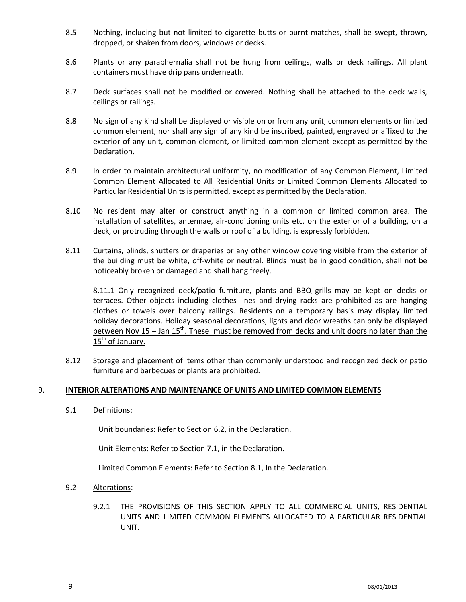- 8.5 Nothing, including but not limited to cigarette butts or burnt matches, shall be swept, thrown, dropped, or shaken from doors, windows or decks.
- 8.6 Plants or any paraphernalia shall not be hung from ceilings, walls or deck railings. All plant containers must have drip pans underneath.
- 8.7 Deck surfaces shall not be modified or covered. Nothing shall be attached to the deck walls, ceilings or railings.
- 8.8 No sign of any kind shall be displayed or visible on or from any unit, common elements or limited common element, nor shall any sign of any kind be inscribed, painted, engraved or affixed to the exterior of any unit, common element, or limited common element except as permitted by the Declaration.
- 8.9 In order to maintain architectural uniformity, no modification of any Common Element, Limited Common Element Allocated to All Residential Units or Limited Common Elements Allocated to Particular Residential Units is permitted, except as permitted by the Declaration.
- 8.10 No resident may alter or construct anything in a common or limited common area. The installation of satellites, antennae, air-conditioning units etc. on the exterior of a building, on a deck, or protruding through the walls or roof of a building, is expressly forbidden.
- 8.11 Curtains, blinds, shutters or draperies or any other window covering visible from the exterior of the building must be white, off-white or neutral. Blinds must be in good condition, shall not be noticeably broken or damaged and shall hang freely.

8.11.1 Only recognized deck/patio furniture, plants and BBQ grills may be kept on decks or terraces. Other objects including clothes lines and drying racks are prohibited as are hanging clothes or towels over balcony railings. Residents on a temporary basis may display limited holiday decorations. Holiday seasonal decorations, lights and door wreaths can only be displayed between Nov 15 – Jan  $15<sup>th</sup>$ . These must be removed from decks and unit doors no later than the 15<sup>th</sup> of January.

8.12 Storage and placement of items other than commonly understood and recognized deck or patio furniture and barbecues or plants are prohibited.

#### <span id="page-8-0"></span>9. **INTERIOR ALTERATIONS AND MAINTENANCE OF UNITS AND LIMITED COMMON ELEMENTS**

9.1 Definitions:

Unit boundaries: Refer to Section 6.2, in the Declaration.

Unit Elements: Refer to Section 7.1, in the Declaration.

Limited Common Elements: Refer to Section 8.1, In the Declaration.

- 9.2 Alterations:
	- 9.2.1 THE PROVISIONS OF THIS SECTION APPLY TO ALL COMMERCIAL UNITS, RESIDENTIAL UNITS AND LIMITED COMMON ELEMENTS ALLOCATED TO A PARTICULAR RESIDENTIAL UNIT.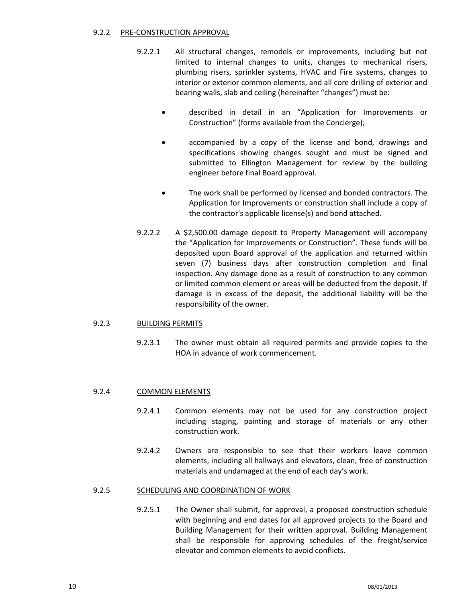#### 9.2.2 PRE-CONSTRUCTION APPROVAL

- 9.2.2.1 All structural changes, remodels or improvements, including but not limited to internal changes to units, changes to mechanical risers, plumbing risers, sprinkler systems, HVAC and Fire systems, changes to interior or exterior common elements, and all core drilling of exterior and bearing walls, slab and ceiling (hereinafter "changes") must be:
	- described in detail in an "Application for Improvements or Construction" (forms available from the Concierge);
	- accompanied by a copy of the license and bond, drawings and specifications showing changes sought and must be signed and submitted to Ellington Management for review by the building engineer before final Board approval.
	- The work shall be performed by licensed and bonded contractors. The Application for Improvements or construction shall include a copy of the contractor's applicable license(s) and bond attached.
- 9.2.2.2 A \$2,500.00 damage deposit to Property Management will accompany the "Application for Improvements or Construction". These funds will be deposited upon Board approval of the application and returned within seven (7) business days after construction completion and final inspection. Any damage done as a result of construction to any common or limited common element or areas will be deducted from the deposit. If damage is in excess of the deposit, the additional liability will be the responsibility of the owner.

# 9.2.3 BUILDING PERMITS

9.2.3.1 The owner must obtain all required permits and provide copies to the HOA in advance of work commencement.

# 9.2.4 COMMON ELEMENTS

- 9.2.4.1 Common elements may not be used for any construction project including staging, painting and storage of materials or any other construction work.
- 9.2.4.2 Owners are responsible to see that their workers leave common elements, including all hallways and elevators, clean, free of construction materials and undamaged at the end of each day's work.

#### 9.2.5 SCHEDULING AND COORDINATION OF WORK

9.2.5.1 The Owner shall submit, for approval, a proposed construction schedule with beginning and end dates for all approved projects to the Board and Building Management for their written approval. Building Management shall be responsible for approving schedules of the freight/service elevator and common elements to avoid conflicts.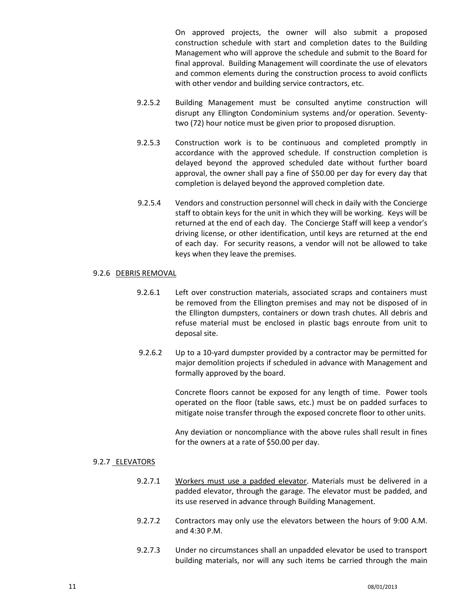On approved projects, the owner will also submit a proposed construction schedule with start and completion dates to the Building Management who will approve the schedule and submit to the Board for final approval. Building Management will coordinate the use of elevators and common elements during the construction process to avoid conflicts with other vendor and building service contractors, etc.

- 9.2.5.2 Building Management must be consulted anytime construction will disrupt any Ellington Condominium systems and/or operation. Seventytwo (72) hour notice must be given prior to proposed disruption.
- 9.2.5.3 Construction work is to be continuous and completed promptly in accordance with the approved schedule. If construction completion is delayed beyond the approved scheduled date without further board approval, the owner shall pay a fine of \$50.00 per day for every day that completion is delayed beyond the approved completion date.
- 9.2.5.4 Vendors and construction personnel will check in daily with the Concierge staff to obtain keys for the unit in which they will be working. Keys will be returned at the end of each day. The Concierge Staff will keep a vendor's driving license, or other identification, until keys are returned at the end of each day. For security reasons, a vendor will not be allowed to take keys when they leave the premises.

#### 9.2.6 DEBRIS REMOVAL

- 9.2.6.1 Left over construction materials, associated scraps and containers must be removed from the Ellington premises and may not be disposed of in the Ellington dumpsters, containers or down trash chutes. All debris and refuse material must be enclosed in plastic bags enroute from unit to deposal site.
- 9.2.6.2 Up to a 10-yard dumpster provided by a contractor may be permitted for major demolition projects if scheduled in advance with Management and formally approved by the board.

Concrete floors cannot be exposed for any length of time. Power tools operated on the floor (table saws, etc.) must be on padded surfaces to mitigate noise transfer through the exposed concrete floor to other units.

Any deviation or noncompliance with the above rules shall result in fines for the owners at a rate of \$50.00 per day.

#### 9.2.7 ELEVATORS

- 9.2.7.1 Workers must use a padded elevator. Materials must be delivered in a padded elevator, through the garage. The elevator must be padded, and its use reserved in advance through Building Management.
- 9.2.7.2 Contractors may only use the elevators between the hours of 9:00 A.M. and 4:30 P.M.
- 9.2.7.3 Under no circumstances shall an unpadded elevator be used to transport building materials, nor will any such items be carried through the main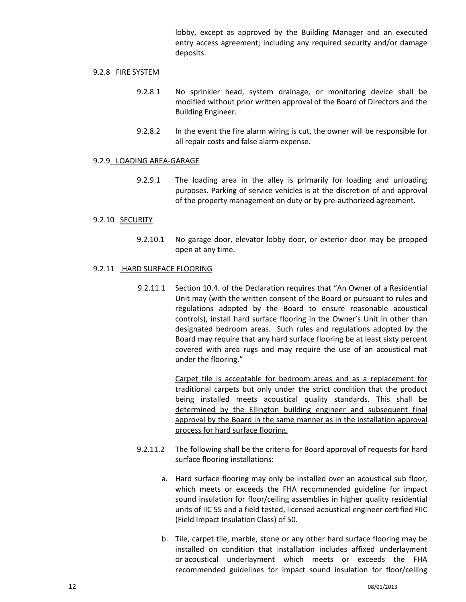lobby, except as approved by the Building Manager and an executed entry access agreement; including any required security and/or damage deposits.

#### 9.2.8 FIRE SYSTEM

- 9.2.8.1 No sprinkler head, system drainage, or monitoring device shall be modified without prior written approval of the Board of Directors and the Building Engineer.
- 9.2.8.2 In the event the fire alarm wiring is cut, the owner will be responsible for all repair costs and false alarm expense.

#### 9.2.9 LOADING AREA-GARAGE

9.2.9.1 The loading area in the alley is primarily for loading and unloading purposes. Parking of service vehicles is at the discretion of and approval of the property management on duty or by pre-authorized agreement.

#### 9.2.10 SECURITY

9.2.10.1 No garage door, elevator lobby door, or exterior door may be propped open at any time.

#### 9.2.11 HARD SURFACE FLOORING

9.2.11.1 Section 10.4. of the Declaration requires that "An Owner of a Residential Unit may (with the written consent of the Board or pursuant to rules and regulations adopted by the Board to ensure reasonable acoustical controls), install hard surface flooring in the Owner's Unit in other than designated bedroom areas. Such rules and regulations adopted by the Board may require that any hard surface flooring be at least sixty percent covered with area rugs and may require the use of an acoustical mat under the flooring."

> Carpet tile is acceptable for bedroom areas and as a replacement for traditional carpets but only under the strict condition that the product being installed meets acoustical quality standards. This shall be determined by the Ellington building engineer and subsequent final approval by the Board in the same manner as in the installation approval process for hard surface flooring.

- 9.2.11.2 The following shall be the criteria for Board approval of requests for hard surface flooring installations:
	- a. Hard surface flooring may only be installed over an acoustical sub floor, which meets or exceeds the FHA recommended guideline for impact sound insulation for floor/ceiling assemblies in higher quality residential units of IIC 55 and a field tested, licensed acoustical engineer certified FIIC (Field Impact Insulation Class) of 50.
	- b. Tile, carpet tile, marble, stone or any other hard surface flooring may be installed on condition that installation includes affixed underlayment or acoustical underlayment which meets or exceeds the FHA recommended guidelines for impact sound insulation for floor/ceiling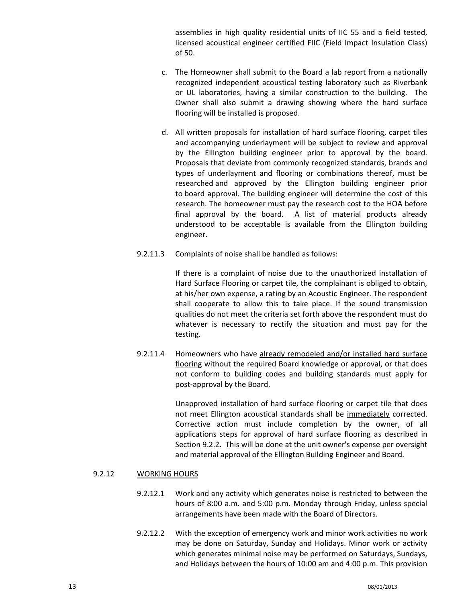assemblies in high quality residential units of IIC 55 and a field tested, licensed acoustical engineer certified FIIC (Field Impact Insulation Class) of 50.

- c. The Homeowner shall submit to the Board a lab report from a nationally recognized independent acoustical testing laboratory such as Riverbank or UL laboratories, having a similar construction to the building. The Owner shall also submit a drawing showing where the hard surface flooring will be installed is proposed.
- d. All written proposals for installation of hard surface flooring, carpet tiles and accompanying underlayment will be subject to review and approval by the Ellington building engineer prior to approval by the board. Proposals that deviate from commonly recognized standards, brands and types of underlayment and flooring or combinations thereof, must be researched and approved by the Ellington building engineer prior to board approval. The building engineer will determine the cost of this research. The homeowner must pay the research cost to the HOA before final approval by the board. A list of material products already understood to be acceptable is available from the Ellington building engineer.
- 9.2.11.3 Complaints of noise shall be handled as follows:

If there is a complaint of noise due to the unauthorized installation of Hard Surface Flooring or carpet tile, the complainant is obliged to obtain, at his/her own expense, a rating by an Acoustic Engineer. The respondent shall cooperate to allow this to take place. If the sound transmission qualities do not meet the criteria set forth above the respondent must do whatever is necessary to rectify the situation and must pay for the testing.

9.2.11.4 Homeowners who have already remodeled and/or installed hard surface flooring without the required Board knowledge or approval, or that does not conform to building codes and building standards must apply for post-approval by the Board.

> Unapproved installation of hard surface flooring or carpet tile that does not meet Ellington acoustical standards shall be immediately corrected. Corrective action must include completion by the owner, of all applications steps for approval of hard surface flooring as described in Section 9.2.2. This will be done at the unit owner's expense per oversight and material approval of the Ellington Building Engineer and Board.

#### 9.2.12 WORKING HOURS

- 9.2.12.1 Work and any activity which generates noise is restricted to between the hours of 8:00 a.m. and 5:00 p.m. Monday through Friday, unless special arrangements have been made with the Board of Directors.
- 9.2.12.2 With the exception of emergency work and minor work activities no work may be done on Saturday, Sunday and Holidays. Minor work or activity which generates minimal noise may be performed on Saturdays, Sundays, and Holidays between the hours of 10:00 am and 4:00 p.m. This provision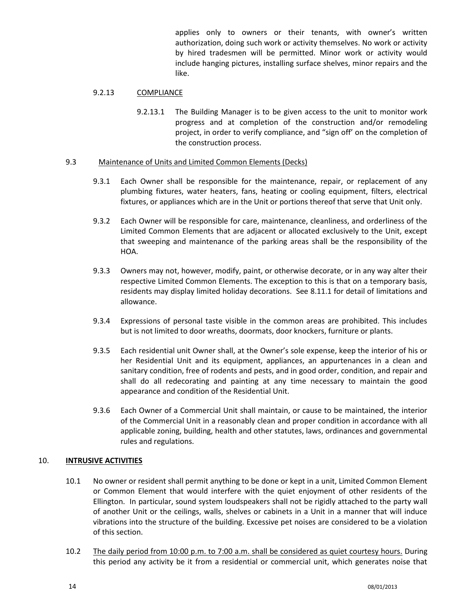applies only to owners or their tenants, with owner's written authorization, doing such work or activity themselves. No work or activity by hired tradesmen will be permitted. Minor work or activity would include hanging pictures, installing surface shelves, minor repairs and the like.

# 9.2.13 COMPLIANCE

9.2.13.1 The Building Manager is to be given access to the unit to monitor work progress and at completion of the construction and/or remodeling project, in order to verify compliance, and "sign off' on the completion of the construction process.

#### 9.3 Maintenance of Units and Limited Common Elements (Decks)

- 9.3.1 Each Owner shall be responsible for the maintenance, repair, or replacement of any plumbing fixtures, water heaters, fans, heating or cooling equipment, filters, electrical fixtures, or appliances which are in the Unit or portions thereof that serve that Unit only.
- 9.3.2 Each Owner will be responsible for care, maintenance, cleanliness, and orderliness of the Limited Common Elements that are adjacent or allocated exclusively to the Unit, except that sweeping and maintenance of the parking areas shall be the responsibility of the HOA.
- 9.3.3 Owners may not, however, modify, paint, or otherwise decorate, or in any way alter their respective Limited Common Elements. The exception to this is that on a temporary basis, residents may display limited holiday decorations. See 8.11.1 for detail of limitations and allowance.
- 9.3.4 Expressions of personal taste visible in the common areas are prohibited. This includes but is not limited to door wreaths, doormats, door knockers, furniture or plants.
- 9.3.5 Each residential unit Owner shall, at the Owner's sole expense, keep the interior of his or her Residential Unit and its equipment, appliances, an appurtenances in a clean and sanitary condition, free of rodents and pests, and in good order, condition, and repair and shall do all redecorating and painting at any time necessary to maintain the good appearance and condition of the Residential Unit.
- 9.3.6 Each Owner of a Commercial Unit shall maintain, or cause to be maintained, the interior of the Commercial Unit in a reasonably clean and proper condition in accordance with all applicable zoning, building, health and other statutes, laws, ordinances and governmental rules and regulations.

# <span id="page-13-0"></span>10. **INTRUSIVE ACTIVITIES**

- 10.1 No owner or resident shall permit anything to be done or kept in a unit, Limited Common Element or Common Element that would interfere with the quiet enjoyment of other residents of the Ellington. In particular, sound system loudspeakers shall not be rigidly attached to the party wall of another Unit or the ceilings, walls, shelves or cabinets in a Unit in a manner that will induce vibrations into the structure of the building. Excessive pet noises are considered to be a violation of this section.
- 10.2 The daily period from 10:00 p.m. to 7:00 a.m. shall be considered as quiet courtesy hours. During this period any activity be it from a residential or commercial unit, which generates noise that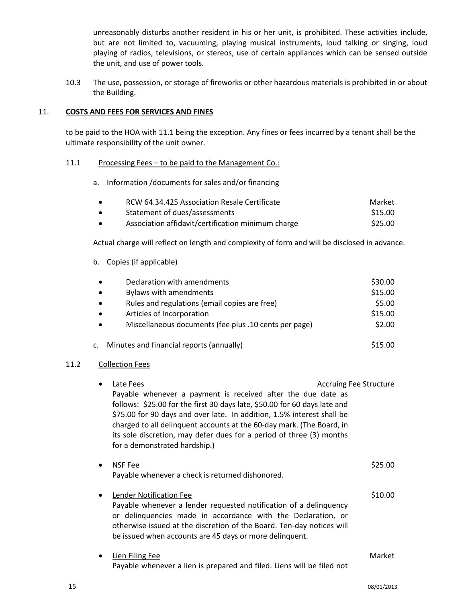unreasonably disturbs another resident in his or her unit, is prohibited. These activities include, but are not limited to, vacuuming, playing musical instruments, loud talking or singing, loud playing of radios, televisions, or stereos, use of certain appliances which can be sensed outside the unit, and use of power tools.

10.3 The use, possession, or storage of fireworks or other hazardous materials is prohibited in or about the Building.

#### <span id="page-14-0"></span>11. **COSTS AND FEES FOR SERVICES AND FINES**

to be paid to the HOA with 11.1 being the exception. Any fines or fees incurred by a tenant shall be the ultimate responsibility of the unit owner.

#### 11.1 Processing Fees – to be paid to the Management Co.:

a. Information /documents for sales and/or financing

| $\bullet$ | RCW 64.34.425 Association Resale Certificate       | Market  |
|-----------|----------------------------------------------------|---------|
| $\bullet$ | Statement of dues/assessments                      | \$15.00 |
| $\bullet$ | Association affidavit/certification minimum charge | \$25.00 |

Actual charge will reflect on length and complexity of form and will be disclosed in advance.

b. Copies (if applicable)

| $\bullet$ | Declaration with amendments                           | \$30.00 |
|-----------|-------------------------------------------------------|---------|
| $\bullet$ | <b>Bylaws with amendments</b>                         | \$15.00 |
| $\bullet$ | Rules and regulations (email copies are free)         | \$5.00  |
| $\bullet$ | Articles of Incorporation                             | \$15.00 |
|           | Miscellaneous documents (fee plus .10 cents per page) | \$2.00  |
|           | c. Minutes and financial reports (annually)           | \$15.00 |

#### 11.2 Collection Fees

| Late Fees<br>Payable whenever a payment is received after the due date as<br>follows: \$25.00 for the first 30 days late, \$50.00 for 60 days late and<br>\$75.00 for 90 days and over late. In addition, 1.5% interest shall be<br>charged to all delinquent accounts at the 60-day mark. (The Board, in<br>its sole discretion, may defer dues for a period of three (3) months<br>for a demonstrated hardship.) | <b>Accruing Fee Structure</b> |  |
|--------------------------------------------------------------------------------------------------------------------------------------------------------------------------------------------------------------------------------------------------------------------------------------------------------------------------------------------------------------------------------------------------------------------|-------------------------------|--|
| NSF Fee<br>Payable whenever a check is returned dishonored.                                                                                                                                                                                                                                                                                                                                                        | \$25.00                       |  |
| Lender Notification Fee<br>Payable whenever a lender requested notification of a delinquency<br>or delinquencies made in accordance with the Declaration, or<br>otherwise issued at the discretion of the Board. Ten-day notices will<br>be issued when accounts are 45 days or more delinquent.                                                                                                                   | \$10.00                       |  |
| Lien Filing Fee<br>Payable whenever a lien is prepared and filed. Liens will be filed not                                                                                                                                                                                                                                                                                                                          | Market                        |  |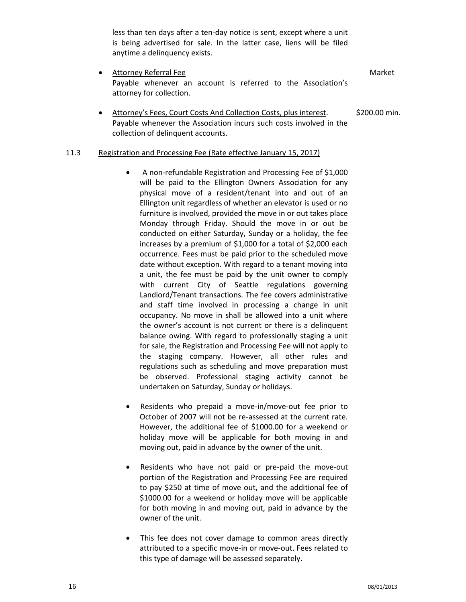less than ten days after a ten-day notice is sent, except where a unit is being advertised for sale. In the latter case, liens will be filed anytime a delinquency exists.

- Attorney Referral Fee Market Number 2012 19:30 Market Market Market Market Market Market Market Market Market Payable whenever an account is referred to the Association's attorney for collection.
- Attorney's Fees, Court Costs And Collection Costs, plus interest. \$200.00 min. Payable whenever the Association incurs such costs involved in the collection of delinquent accounts.

#### 11.3 Registration and Processing Fee (Rate effective January 15, 2017)

- A non-refundable Registration and Processing Fee of \$1,000 will be paid to the Ellington Owners Association for any physical move of a resident/tenant into and out of an Ellington unit regardless of whether an elevator is used or no furniture is involved, provided the move in or out takes place Monday through Friday. Should the move in or out be conducted on either Saturday, Sunday or a holiday, the fee increases by a premium of \$1,000 for a total of \$2,000 each occurrence. Fees must be paid prior to the scheduled move date without exception. With regard to a tenant moving into a unit, the fee must be paid by the unit owner to comply with current City of Seattle regulations governing Landlord/Tenant transactions. The fee covers administrative and staff time involved in processing a change in unit occupancy. No move in shall be allowed into a unit where the owner's account is not current or there is a delinquent balance owing. With regard to professionally staging a unit for sale, the Registration and Processing Fee will not apply to the staging company. However, all other rules and regulations such as scheduling and move preparation must be observed. Professional staging activity cannot be undertaken on Saturday, Sunday or holidays.
- Residents who prepaid a move-in/move-out fee prior to October of 2007 will not be re-assessed at the current rate. However, the additional fee of \$1000.00 for a weekend or holiday move will be applicable for both moving in and moving out, paid in advance by the owner of the unit.
- Residents who have not paid or pre-paid the move-out portion of the Registration and Processing Fee are required to pay \$250 at time of move out, and the additional fee of \$1000.00 for a weekend or holiday move will be applicable for both moving in and moving out, paid in advance by the owner of the unit.
- This fee does not cover damage to common areas directly attributed to a specific move-in or move-out. Fees related to this type of damage will be assessed separately.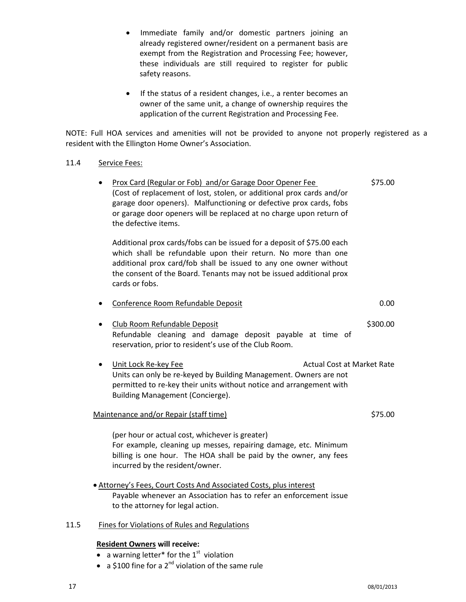- Immediate family and/or domestic partners joining an already registered owner/resident on a permanent basis are exempt from the Registration and Processing Fee; however, these individuals are still required to register for public safety reasons.
- If the status of a resident changes, i.e., a renter becomes an owner of the same unit, a change of ownership requires the application of the current Registration and Processing Fee.

NOTE: Full HOA services and amenities will not be provided to anyone not properly registered as a resident with the Ellington Home Owner's Association.

# 11.4 Service Fees:

Prox Card (Regular or Fob) and/or Garage Door Opener Fee \$75.00 (Cost of replacement of lost, stolen, or additional prox cards and/or garage door openers). Malfunctioning or defective prox cards, fobs or garage door openers will be replaced at no charge upon return of the defective items.

Additional prox cards/fobs can be issued for a deposit of \$75.00 each which shall be refundable upon their return. No more than one additional prox card/fob shall be issued to any one owner without the consent of the Board. Tenants may not be issued additional prox cards or fobs.

|  | Conference Room Refundable Deposit | 0.00 |
|--|------------------------------------|------|
|--|------------------------------------|------|

- Club Room Refundable Deposit **\$300.00** Refundable cleaning and damage deposit payable at time of reservation, prior to resident's use of the Club Room.
- Unit Lock Re-key Fee Actual Cost at Market Rate Units can only be re-keyed by Building Management. Owners are not permitted to re-key their units without notice and arrangement with Building Management (Concierge).

#### Maintenance and/or Repair (staff time)  $$75.00$

(per hour or actual cost, whichever is greater) For example, cleaning up messes, repairing damage, etc. Minimum billing is one hour. The HOA shall be paid by the owner, any fees incurred by the resident/owner.

 Attorney's Fees, Court Costs And Associated Costs, plus interest Payable whenever an Association has to refer an enforcement issue to the attorney for legal action.

# 11.5 Fines for Violations of Rules and Regulations

# **Resident Owners will receive:**

- a warning letter\* for the  $1<sup>st</sup>$  violation
- a \$100 fine for a  $2^{nd}$  violation of the same rule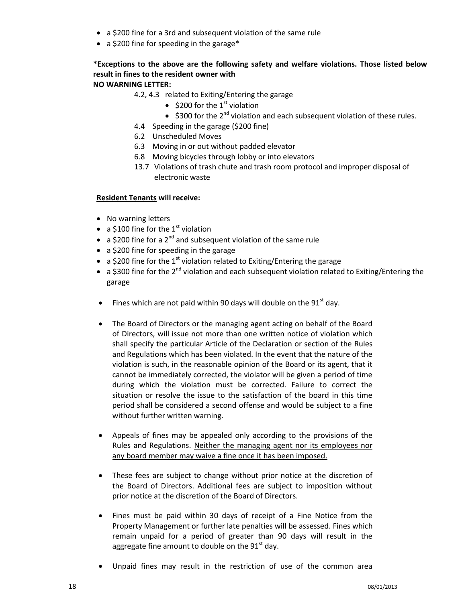- a \$200 fine for a 3rd and subsequent violation of the same rule
- a \$200 fine for speeding in the garage\*

# **\*Exceptions to the above are the following safety and welfare violations. Those listed below result in fines to the resident owner with NO WARNING LETTER:**

# 4.2, 4.3 related to Exiting/Entering the garage

- \$200 for the  $1<sup>st</sup>$  violation
	- $\bullet$  \$300 for the 2<sup>nd</sup> violation and each subsequent violation of these rules.
- 4.4 Speeding in the garage (\$200 fine)
- 6.2 Unscheduled Moves
- 6.3 Moving in or out without padded elevator
- 6.8 Moving bicycles through lobby or into elevators
- 13.7 Violations of trash chute and trash room protocol and improper disposal of electronic waste

# **Resident Tenants will receive:**

- No warning letters
- a \$100 fine for the  $1<sup>st</sup>$  violation
- a \$200 fine for a  $2^{nd}$  and subsequent violation of the same rule
- a \$200 fine for speeding in the garage
- a \$200 fine for the  $1<sup>st</sup>$  violation related to Exiting/Entering the garage
- $\bullet$  a \$300 fine for the 2<sup>nd</sup> violation and each subsequent violation related to Exiting/Entering the garage
- Fines which are not paid within 90 days will double on the  $91<sup>st</sup>$  day.
- The Board of Directors or the managing agent acting on behalf of the Board of Directors, will issue not more than one written notice of violation which shall specify the particular Article of the Declaration or section of the Rules and Regulations which has been violated. In the event that the nature of the violation is such, in the reasonable opinion of the Board or its agent, that it cannot be immediately corrected, the violator will be given a period of time during which the violation must be corrected. Failure to correct the situation or resolve the issue to the satisfaction of the board in this time period shall be considered a second offense and would be subject to a fine without further written warning.
- Appeals of fines may be appealed only according to the provisions of the Rules and Regulations. Neither the managing agent nor its employees nor any board member may waive a fine once it has been imposed.
- These fees are subject to change without prior notice at the discretion of the Board of Directors. Additional fees are subject to imposition without prior notice at the discretion of the Board of Directors.
- Fines must be paid within 30 days of receipt of a Fine Notice from the Property Management or further late penalties will be assessed. Fines which remain unpaid for a period of greater than 90 days will result in the aggregate fine amount to double on the  $91<sup>st</sup>$  day.
- Unpaid fines may result in the restriction of use of the common area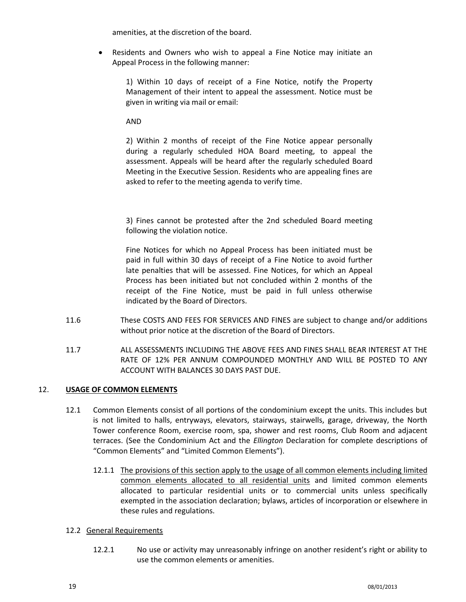amenities, at the discretion of the board.

 Residents and Owners who wish to appeal a Fine Notice may initiate an Appeal Process in the following manner:

1) Within 10 days of receipt of a Fine Notice, notify the Property Management of their intent to appeal the assessment. Notice must be given in writing via mail or email:

AND

2) Within 2 months of receipt of the Fine Notice appear personally during a regularly scheduled HOA Board meeting, to appeal the assessment. Appeals will be heard after the regularly scheduled Board Meeting in the Executive Session. Residents who are appealing fines are asked to refer to the meeting agenda to verify time.

3) Fines cannot be protested after the 2nd scheduled Board meeting following the violation notice.

Fine Notices for which no Appeal Process has been initiated must be paid in full within 30 days of receipt of a Fine Notice to avoid further late penalties that will be assessed. Fine Notices, for which an Appeal Process has been initiated but not concluded within 2 months of the receipt of the Fine Notice, must be paid in full unless otherwise indicated by the Board of Directors.

- 11.6 These COSTS AND FEES FOR SERVICES AND FINES are subject to change and/or additions without prior notice at the discretion of the Board of Directors.
- 11.7 ALL ASSESSMENTS INCLUDING THE ABOVE FEES AND FINES SHALL BEAR INTEREST AT THE RATE OF 12% PER ANNUM COMPOUNDED MONTHLY AND WILL BE POSTED TO ANY ACCOUNT WITH BALANCES 30 DAYS PAST DUE.

# <span id="page-18-0"></span>12. **USAGE OF COMMON ELEMENTS**

- 12.1 Common Elements consist of all portions of the condominium except the units. This includes but is not limited to halls, entryways, elevators, stairways, stairwells, garage, driveway, the North Tower conference Room, exercise room, spa, shower and rest rooms, Club Room and adjacent terraces. (See the Condominium Act and the *Ellington* Declaration for complete descriptions of "Common Elements" and "Limited Common Elements").
	- 12.1.1 The provisions of this section apply to the usage of all common elements including limited common elements allocated to all residential units and limited common elements allocated to particular residential units or to commercial units unless specifically exempted in the association declaration; bylaws, articles of incorporation or elsewhere in these rules and regulations.

# 12.2 General Requirements

12.2.1 No use or activity may unreasonably infringe on another resident's right or ability to use the common elements or amenities.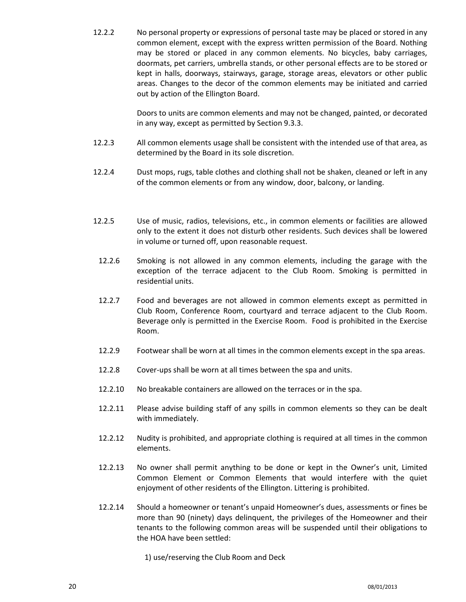12.2.2 No personal property or expressions of personal taste may be placed or stored in any common element, except with the express written permission of the Board. Nothing may be stored or placed in any common elements. No bicycles, baby carriages, doormats, pet carriers, umbrella stands, or other personal effects are to be stored or kept in halls, doorways, stairways, garage, storage areas, elevators or other public areas. Changes to the decor of the common elements may be initiated and carried out by action of the Ellington Board.

> Doors to units are common elements and may not be changed, painted, or decorated in any way, except as permitted by Section 9.3.3.

- 12.2.3 All common elements usage shall be consistent with the intended use of that area, as determined by the Board in its sole discretion.
- 12.2.4 Dust mops, rugs, table clothes and clothing shall not be shaken, cleaned or left in any of the common elements or from any window, door, balcony, or landing.
- 12.2.5 Use of music, radios, televisions, etc., in common elements or facilities are allowed only to the extent it does not disturb other residents. Such devices shall be lowered in volume or turned off, upon reasonable request.
- 12.2.6 Smoking is not allowed in any common elements, including the garage with the exception of the terrace adjacent to the Club Room. Smoking is permitted in residential units.
- 12.2.7 Food and beverages are not allowed in common elements except as permitted in Club Room, Conference Room, courtyard and terrace adjacent to the Club Room. Beverage only is permitted in the Exercise Room. Food is prohibited in the Exercise Room.
- 12.2.9 Footwear shall be worn at all times in the common elements except in the spa areas.
- 12.2.8 Cover-ups shall be worn at all times between the spa and units.
- 12.2.10 No breakable containers are allowed on the terraces or in the spa.
- 12.2.11 Please advise building staff of any spills in common elements so they can be dealt with immediately.
- 12.2.12 Nudity is prohibited, and appropriate clothing is required at all times in the common elements.
- 12.2.13 No owner shall permit anything to be done or kept in the Owner's unit, Limited Common Element or Common Elements that would interfere with the quiet enjoyment of other residents of the Ellington. Littering is prohibited.
- 12.2.14 Should a homeowner or tenant's unpaid Homeowner's dues, assessments or fines be more than 90 (ninety) days delinquent, the privileges of the Homeowner and their tenants to the following common areas will be suspended until their obligations to the HOA have been settled:
	- 1) use/reserving the Club Room and Deck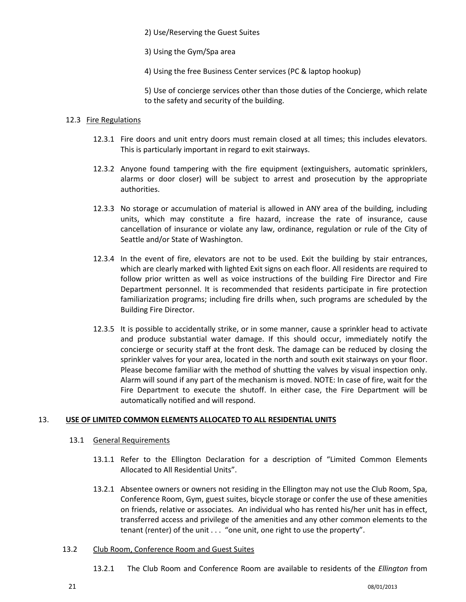2) Use/Reserving the Guest Suites

- 3) Using the Gym/Spa area
- 4) Using the free Business Center services (PC & laptop hookup)

5) Use of concierge services other than those duties of the Concierge, which relate to the safety and security of the building.

#### 12.3 Fire Regulations

- 12.3.1 Fire doors and unit entry doors must remain closed at all times; this includes elevators. This is particularly important in regard to exit stairways.
- 12.3.2 Anyone found tampering with the fire equipment (extinguishers, automatic sprinklers, alarms or door closer) will be subject to arrest and prosecution by the appropriate authorities.
- 12.3.3 No storage or accumulation of material is allowed in ANY area of the building, including units, which may constitute a fire hazard, increase the rate of insurance, cause cancellation of insurance or violate any law, ordinance, regulation or rule of the City of Seattle and/or State of Washington.
- 12.3.4 In the event of fire, elevators are not to be used. Exit the building by stair entrances, which are clearly marked with lighted Exit signs on each floor. All residents are required to follow prior written as well as voice instructions of the building Fire Director and Fire Department personnel. It is recommended that residents participate in fire protection familiarization programs; including fire drills when, such programs are scheduled by the Building Fire Director.
- 12.3.5 It is possible to accidentally strike, or in some manner, cause a sprinkler head to activate and produce substantial water damage. If this should occur, immediately notify the concierge or security staff at the front desk. The damage can be reduced by closing the sprinkler valves for your area, located in the north and south exit stairways on your floor. Please become familiar with the method of shutting the valves by visual inspection only. Alarm will sound if any part of the mechanism is moved. NOTE: In case of fire, wait for the Fire Department to execute the shutoff. In either case, the Fire Department will be automatically notified and will respond.

# <span id="page-20-0"></span>13. **USE OF LIMITED COMMON ELEMENTS ALLOCATED TO ALL RESIDENTIAL UNITS**

- 13.1 General Requirements
	- 13.1.1 Refer to the Ellington Declaration for a description of "Limited Common Elements Allocated to All Residential Units".
	- 13.2.1 Absentee owners or owners not residing in the Ellington may not use the Club Room, Spa, Conference Room, Gym, guest suites, bicycle storage or confer the use of these amenities on friends, relative or associates. An individual who has rented his/her unit has in effect, transferred access and privilege of the amenities and any other common elements to the tenant (renter) of the unit . . . "one unit, one right to use the property".

# 13.2 Club Room, Conference Room and Guest Suites

13.2.1 The Club Room and Conference Room are available to residents of the *Ellington* from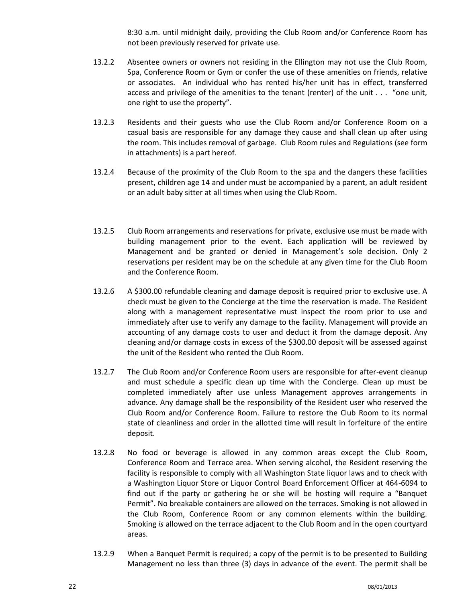8:30 a.m. until midnight daily, providing the Club Room and/or Conference Room has not been previously reserved for private use.

- 13.2.2 Absentee owners or owners not residing in the Ellington may not use the Club Room, Spa, Conference Room or Gym or confer the use of these amenities on friends, relative or associates. An individual who has rented his/her unit has in effect, transferred access and privilege of the amenities to the tenant (renter) of the unit . . . "one unit, one right to use the property".
- 13.2.3 Residents and their guests who use the Club Room and/or Conference Room on a casual basis are responsible for any damage they cause and shall clean up after using the room. This includes removal of garbage. Club Room rules and Regulations (see form in attachments) is a part hereof.
- 13.2.4 Because of the proximity of the Club Room to the spa and the dangers these facilities present, children age 14 and under must be accompanied by a parent, an adult resident or an adult baby sitter at all times when using the Club Room.
- 13.2.5 Club Room arrangements and reservations for private, exclusive use must be made with building management prior to the event. Each application will be reviewed by Management and be granted or denied in Management's sole decision. Only 2 reservations per resident may be on the schedule at any given time for the Club Room and the Conference Room.
- 13.2.6 A \$300.00 refundable cleaning and damage deposit is required prior to exclusive use. A check must be given to the Concierge at the time the reservation is made. The Resident along with a management representative must inspect the room prior to use and immediately after use to verify any damage to the facility. Management will provide an accounting of any damage costs to user and deduct it from the damage deposit. Any cleaning and/or damage costs in excess of the \$300.00 deposit will be assessed against the unit of the Resident who rented the Club Room.
- 13.2.7 The Club Room and/or Conference Room users are responsible for after-event cleanup and must schedule a specific clean up time with the Concierge. Clean up must be completed immediately after use unless Management approves arrangements in advance. Any damage shall be the responsibility of the Resident user who reserved the Club Room and/or Conference Room. Failure to restore the Club Room to its normal state of cleanliness and order in the allotted time will result in forfeiture of the entire deposit.
- 13.2.8 No food or beverage is allowed in any common areas except the Club Room, Conference Room and Terrace area. When serving alcohol, the Resident reserving the facility is responsible to comply with all Washington State liquor laws and to check with a Washington Liquor Store or Liquor Control Board Enforcement Officer at 464-6094 to find out if the party or gathering he or she will be hosting will require a "Banquet Permit". No breakable containers are allowed on the terraces. Smoking is not allowed in the Club Room, Conference Room or any common elements within the building. Smoking *is* allowed on the terrace adjacent to the Club Room and in the open courtyard areas.
- 13.2.9 When a Banquet Permit is required; a copy of the permit is to be presented to Building Management no less than three (3) days in advance of the event. The permit shall be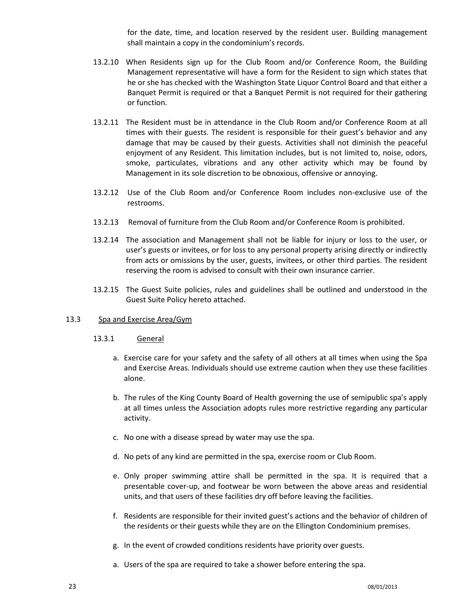for the date, time, and location reserved by the resident user. Building management shall maintain a copy in the condominium's records.

- 13.2.10 When Residents sign up for the Club Room and/or Conference Room, the Building Management representative will have a form for the Resident to sign which states that he or she has checked with the Washington State Liquor Control Board and that either a Banquet Permit is required or that a Banquet Permit is not required for their gathering or function.
- 13.2.11 The Resident must be in attendance in the Club Room and/or Conference Room at all times with their guests. The resident is responsible for their guest's behavior and any damage that may be caused by their guests. Activities shall not diminish the peaceful enjoyment of any Resident. This limitation includes, but is not limited to, noise, odors, smoke, particulates, vibrations and any other activity which may be found by Management in its sole discretion to be obnoxious, offensive or annoying.
- 13.2.12 Use of the Club Room and/or Conference Room includes non-exclusive use of the restrooms.
- 13.2.13 Removal of furniture from the Club Room and/or Conference Room is prohibited.
- 13.2.14 The association and Management shall not be liable for injury or loss to the user, or user's guests or invitees, or for loss to any personal property arising directly or indirectly from acts or omissions by the user, guests, invitees, or other third parties. The resident reserving the room is advised to consult with their own insurance carrier.
- 13.2.15 The Guest Suite policies, rules and guidelines shall be outlined and understood in the Guest Suite Policy hereto attached.

# 13.3 Spa and Exercise Area/Gym

# 13.3.1 General

- a. Exercise care for your safety and the safety of all others at all times when using the Spa and Exercise Areas. Individuals should use extreme caution when they use these facilities alone.
- b. The rules of the King County Board of Health governing the use of semipublic spa's apply at all times unless the Association adopts rules more restrictive regarding any particular activity.
- c. No one with a disease spread by water may use the spa.
- d. No pets of any kind are permitted in the spa, exercise room or Club Room.
- e. Only proper swimming attire shall be permitted in the spa. It is required that a presentable cover-up, and footwear be worn between the above areas and residential units, and that users of these facilities dry off before leaving the facilities.
- f. Residents are responsible for their invited guest's actions and the behavior of children of the residents or their guests while they are on the Ellington Condominium premises.
- g. In the event of crowded conditions residents have priority over guests.
- a. Users of the spa are required to take a shower before entering the spa.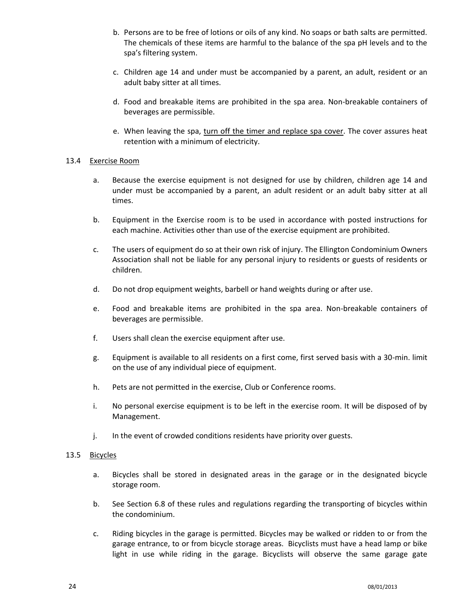- b. Persons are to be free of lotions or oils of any kind. No soaps or bath salts are permitted. The chemicals of these items are harmful to the balance of the spa pH levels and to the spa's filtering system.
- c. Children age 14 and under must be accompanied by a parent, an adult, resident or an adult baby sitter at all times.
- d. Food and breakable items are prohibited in the spa area. Non-breakable containers of beverages are permissible.
- e. When leaving the spa, turn off the timer and replace spa cover. The cover assures heat retention with a minimum of electricity.

#### 13.4 Exercise Room

- a. Because the exercise equipment is not designed for use by children, children age 14 and under must be accompanied by a parent, an adult resident or an adult baby sitter at all times.
- b. Equipment in the Exercise room is to be used in accordance with posted instructions for each machine. Activities other than use of the exercise equipment are prohibited.
- c. The users of equipment do so at their own risk of injury. The Ellington Condominium Owners Association shall not be liable for any personal injury to residents or guests of residents or children.
- d. Do not drop equipment weights, barbell or hand weights during or after use.
- e. Food and breakable items are prohibited in the spa area. Non-breakable containers of beverages are permissible.
- f. Users shall clean the exercise equipment after use.
- g. Equipment is available to all residents on a first come, first served basis with a 30-min. limit on the use of any individual piece of equipment.
- h. Pets are not permitted in the exercise, Club or Conference rooms.
- i. No personal exercise equipment is to be left in the exercise room. It will be disposed of by Management.
- j. In the event of crowded conditions residents have priority over guests.

# 13.5 Bicycles

- a. Bicycles shall be stored in designated areas in the garage or in the designated bicycle storage room.
- b. See Section 6.8 of these rules and regulations regarding the transporting of bicycles within the condominium.
- c. Riding bicycles in the garage is permitted. Bicycles may be walked or ridden to or from the garage entrance, to or from bicycle storage areas. Bicyclists must have a head lamp or bike light in use while riding in the garage. Bicyclists will observe the same garage gate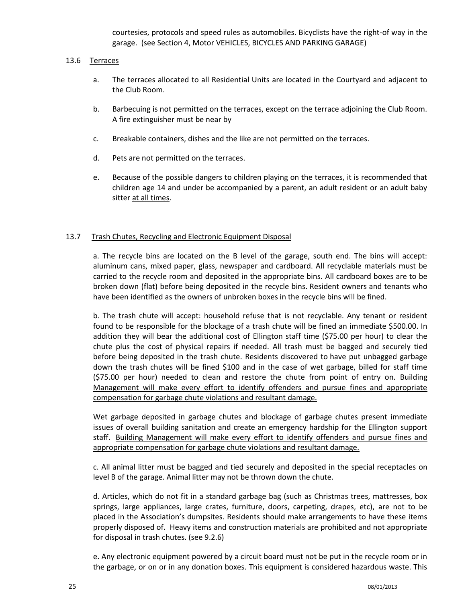courtesies, protocols and speed rules as automobiles. Bicyclists have the right-of way in the garage. (see Section 4, Motor VEHICLES, BICYCLES AND PARKING GARAGE)

#### 13.6 Terraces

- a. The terraces allocated to all Residential Units are located in the Courtyard and adjacent to the Club Room.
- b. Barbecuing is not permitted on the terraces, except on the terrace adjoining the Club Room. A fire extinguisher must be near by
- c. Breakable containers, dishes and the like are not permitted on the terraces.
- d. Pets are not permitted on the terraces.
- e. Because of the possible dangers to children playing on the terraces, it is recommended that children age 14 and under be accompanied by a parent, an adult resident or an adult baby sitter at all times.

#### 13.7 Trash Chutes, Recycling and Electronic Equipment Disposal

a. The recycle bins are located on the B level of the garage, south end. The bins will accept: aluminum cans, mixed paper, glass, newspaper and cardboard. All recyclable materials must be carried to the recycle room and deposited in the appropriate bins. All cardboard boxes are to be broken down (flat) before being deposited in the recycle bins. Resident owners and tenants who have been identified as the owners of unbroken boxes in the recycle bins will be fined.

b. The trash chute will accept: household refuse that is not recyclable. Any tenant or resident found to be responsible for the blockage of a trash chute will be fined an immediate \$500.00. In addition they will bear the additional cost of Ellington staff time (\$75.00 per hour) to clear the chute plus the cost of physical repairs if needed. All trash must be bagged and securely tied before being deposited in the trash chute. Residents discovered to have put unbagged garbage down the trash chutes will be fined \$100 and in the case of wet garbage, billed for staff time (\$75.00 per hour) needed to clean and restore the chute from point of entry on. Building Management will make every effort to identify offenders and pursue fines and appropriate compensation for garbage chute violations and resultant damage.

Wet garbage deposited in garbage chutes and blockage of garbage chutes present immediate issues of overall building sanitation and create an emergency hardship for the Ellington support staff. Building Management will make every effort to identify offenders and pursue fines and appropriate compensation for garbage chute violations and resultant damage.

c. All animal litter must be bagged and tied securely and deposited in the special receptacles on level B of the garage. Animal litter may not be thrown down the chute.

d. Articles, which do not fit in a standard garbage bag (such as Christmas trees, mattresses, box springs, large appliances, large crates, furniture, doors, carpeting, drapes, etc), are not to be placed in the Association's dumpsites. Residents should make arrangements to have these items properly disposed of. Heavy items and construction materials are prohibited and not appropriate for disposal in trash chutes. (see 9.2.6)

e. Any electronic equipment powered by a circuit board must not be put in the recycle room or in the garbage, or on or in any donation boxes. This equipment is considered hazardous waste. This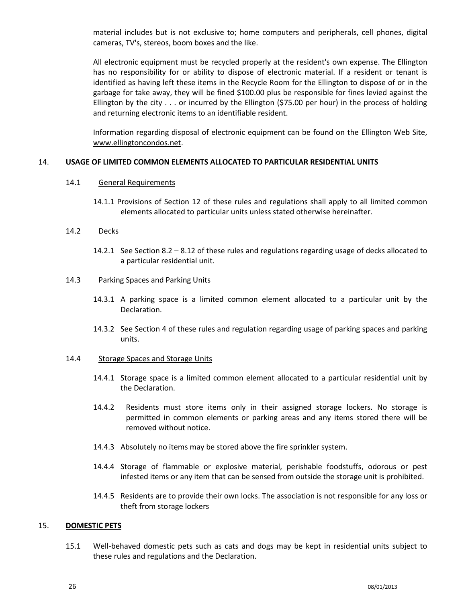material includes but is not exclusive to; home computers and peripherals, cell phones, digital cameras, TV's, stereos, boom boxes and the like.

All electronic equipment must be recycled properly at the resident's own expense. The Ellington has no responsibility for or ability to dispose of electronic material. If a resident or tenant is identified as having left these items in the Recycle Room for the Ellington to dispose of or in the garbage for take away, they will be fined \$100.00 plus be responsible for fines levied against the Ellington by the city . . . or incurred by the Ellington (\$75.00 per hour) in the process of holding and returning electronic items to an identifiable resident.

Information regarding disposal of electronic equipment can be found on the Ellington Web Site, www.ellingtoncondos.net.

#### <span id="page-25-0"></span>14. **USAGE OF LIMITED COMMON ELEMENTS ALLOCATED TO PARTICULAR RESIDENTIAL UNITS**

#### 14.1 General Requirements

14.1.1 Provisions of Section 12 of these rules and regulations shall apply to all limited common elements allocated to particular units unless stated otherwise hereinafter.

#### 14.2 Decks

14.2.1 See Section 8.2 – 8.12 of these rules and regulations regarding usage of decks allocated to a particular residential unit.

#### 14.3 Parking Spaces and Parking Units

- 14.3.1 A parking space is a limited common element allocated to a particular unit by the Declaration.
- 14.3.2 See Section 4 of these rules and regulation regarding usage of parking spaces and parking units.

#### 14.4 Storage Spaces and Storage Units

- 14.4.1 Storage space is a limited common element allocated to a particular residential unit by the Declaration.
- 14.4.2 Residents must store items only in their assigned storage lockers. No storage is permitted in common elements or parking areas and any items stored there will be removed without notice.
- 14.4.3 Absolutely no items may be stored above the fire sprinkler system.
- 14.4.4 Storage of flammable or explosive material, perishable foodstuffs, odorous or pest infested items or any item that can be sensed from outside the storage unit is prohibited.
- 14.4.5 Residents are to provide their own locks. The association is not responsible for any loss or theft from storage lockers

# <span id="page-25-1"></span>15. **DOMESTIC PETS**

15.1 Well-behaved domestic pets such as cats and dogs may be kept in residential units subject to these rules and regulations and the Declaration.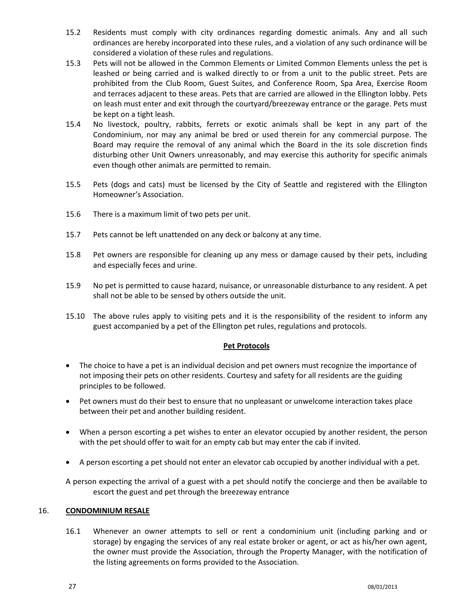- 15.2 Residents must comply with city ordinances regarding domestic animals. Any and all such ordinances are hereby incorporated into these rules, and a violation of any such ordinance will be considered a violation of these rules and regulations.
- 15.3 Pets will not be allowed in the Common Elements or Limited Common Elements unless the pet is leashed or being carried and is walked directly to or from a unit to the public street. Pets are prohibited from the Club Room, Guest Suites, and Conference Room, Spa Area, Exercise Room and terraces adjacent to these areas. Pets that are carried are allowed in the Ellington lobby. Pets on leash must enter and exit through the courtyard/breezeway entrance or the garage. Pets must be kept on a tight leash.
- 15.4 No livestock, poultry, rabbits, ferrets or exotic animals shall be kept in any part of the Condominium, nor may any animal be bred or used therein for any commercial purpose. The Board may require the removal of any animal which the Board in the its sole discretion finds disturbing other Unit Owners unreasonably, and may exercise this authority for specific animals even though other animals are permitted to remain.
- 15.5 Pets (dogs and cats) must be licensed by the City of Seattle and registered with the Ellington Homeowner's Association.
- 15.6 There is a maximum limit of two pets per unit.
- 15.7 Pets cannot be left unattended on any deck or balcony at any time.
- 15.8 Pet owners are responsible for cleaning up any mess or damage caused by their pets, including and especially feces and urine.
- 15.9 No pet is permitted to cause hazard, nuisance, or unreasonable disturbance to any resident. A pet shall not be able to be sensed by others outside the unit.
- 15.10 The above rules apply to visiting pets and it is the responsibility of the resident to inform any guest accompanied by a pet of the Ellington pet rules, regulations and protocols.

# **Pet Protocols**

- The choice to have a pet is an individual decision and pet owners must recognize the importance of not imposing their pets on other residents. Courtesy and safety for all residents are the guiding principles to be followed.
- Pet owners must do their best to ensure that no unpleasant or unwelcome interaction takes place between their pet and another building resident.
- When a person escorting a pet wishes to enter an elevator occupied by another resident, the person with the pet should offer to wait for an empty cab but may enter the cab if invited.
- A person escorting a pet should not enter an elevator cab occupied by another individual with a pet.

A person expecting the arrival of a guest with a pet should notify the concierge and then be available to escort the guest and pet through the breezeway entrance

# <span id="page-26-0"></span>16. **CONDOMINIUM RESALE**

16.1 Whenever an owner attempts to sell or rent a condominium unit (including parking and or storage) by engaging the services of any real estate broker or agent, or act as his/her own agent, the owner must provide the Association, through the Property Manager, with the notification of the listing agreements on forms provided to the Association.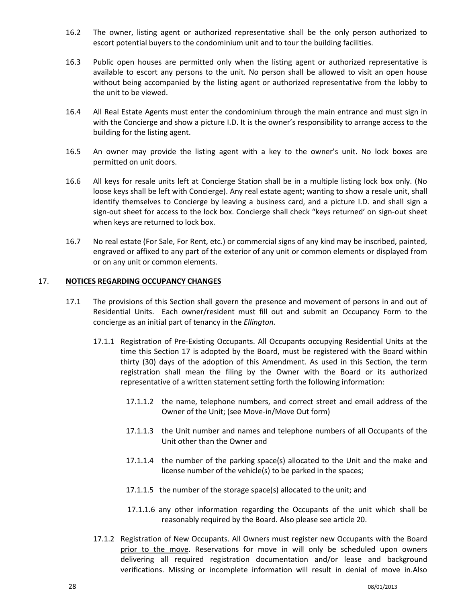- 16.2 The owner, listing agent or authorized representative shall be the only person authorized to escort potential buyers to the condominium unit and to tour the building facilities.
- 16.3 Public open houses are permitted only when the listing agent or authorized representative is available to escort any persons to the unit. No person shall be allowed to visit an open house without being accompanied by the listing agent or authorized representative from the lobby to the unit to be viewed.
- 16.4 All Real Estate Agents must enter the condominium through the main entrance and must sign in with the Concierge and show a picture I.D. It is the owner's responsibility to arrange access to the building for the listing agent.
- 16.5 An owner may provide the listing agent with a key to the owner's unit. No lock boxes are permitted on unit doors.
- 16.6 All keys for resale units left at Concierge Station shall be in a multiple listing lock box only. (No loose keys shall be left with Concierge). Any real estate agent; wanting to show a resale unit, shall identify themselves to Concierge by leaving a business card, and a picture I.D. and shall sign a sign-out sheet for access to the lock box. Concierge shall check "keys returned' on sign-out sheet when keys are returned to lock box.
- 16.7 No real estate (For Sale, For Rent, etc.) or commercial signs of any kind may be inscribed, painted, engraved or affixed to any part of the exterior of any unit or common elements or displayed from or on any unit or common elements.

#### <span id="page-27-0"></span>17. **NOTICES REGARDING OCCUPANCY CHANGES**

- 17.1 The provisions of this Section shall govern the presence and movement of persons in and out of Residential Units. Each owner/resident must fill out and submit an Occupancy Form to the concierge as an initial part of tenancy in the *Ellington.*
	- 17.1.1 Registration of Pre-Existing Occupants. All Occupants occupying Residential Units at the time this Section 17 is adopted by the Board, must be registered with the Board within thirty (30) days of the adoption of this Amendment. As used in this Section, the term registration shall mean the filing by the Owner with the Board or its authorized representative of a written statement setting forth the following information:
		- 17.1.1.2 the name, telephone numbers, and correct street and email address of the Owner of the Unit; (see Move-in/Move Out form)
		- 17.1.1.3 the Unit number and names and telephone numbers of all Occupants of the Unit other than the Owner and
		- 17.1.1.4 the number of the parking space(s) allocated to the Unit and the make and license number of the vehicle(s) to be parked in the spaces;
		- 17.1.1.5 the number of the storage space(s) allocated to the unit; and
		- 17.1.1.6 any other information regarding the Occupants of the unit which shall be reasonably required by the Board. Also please see article 20.
	- 17.1.2 Registration of New Occupants. All Owners must register new Occupants with the Board prior to the move. Reservations for move in will only be scheduled upon owners delivering all required registration documentation and/or lease and background verifications. Missing or incomplete information will result in denial of move in.Also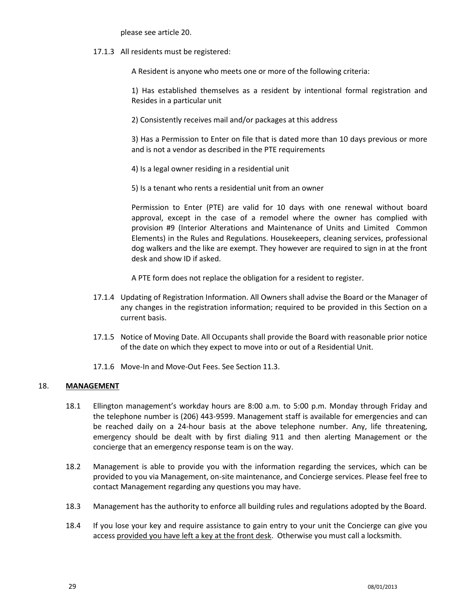please see article 20.

17.1.3 All residents must be registered:

A Resident is anyone who meets one or more of the following criteria:

1) Has established themselves as a resident by intentional formal registration and Resides in a particular unit

2) Consistently receives mail and/or packages at this address

3) Has a Permission to Enter on file that is dated more than 10 days previous or more and is not a vendor as described in the PTE requirements

- 4) Is a legal owner residing in a residential unit
- 5) Is a tenant who rents a residential unit from an owner

Permission to Enter (PTE) are valid for 10 days with one renewal without board approval, except in the case of a remodel where the owner has complied with provision #9 (Interior Alterations and Maintenance of Units and Limited Common Elements) in the Rules and Regulations. Housekeepers, cleaning services, professional dog walkers and the like are exempt. They however are required to sign in at the front desk and show ID if asked.

A PTE form does not replace the obligation for a resident to register.

- 17.1.4 Updating of Registration Information. All Owners shall advise the Board or the Manager of any changes in the registration information; required to be provided in this Section on a current basis.
- 17.1.5 Notice of Moving Date. All Occupants shall provide the Board with reasonable prior notice of the date on which they expect to move into or out of a Residential Unit.
- 17.1.6 Move-In and Move-Out Fees. See Section 11.3.

# <span id="page-28-0"></span>18. **MANAGEMENT**

- 18.1 Ellington management's workday hours are 8:00 a.m. to 5:00 p.m. Monday through Friday and the telephone number is (206) 443-9599. Management staff is available for emergencies and can be reached daily on a 24-hour basis at the above telephone number. Any, life threatening, emergency should be dealt with by first dialing 911 and then alerting Management or the concierge that an emergency response team is on the way.
- 18.2 Management is able to provide you with the information regarding the services, which can be provided to you via Management, on-site maintenance, and Concierge services. Please feel free to contact Management regarding any questions you may have.
- 18.3 Management has the authority to enforce all building rules and regulations adopted by the Board.
- 18.4 If you lose your key and require assistance to gain entry to your unit the Concierge can give you access provided you have left a key at the front desk. Otherwise you must call a locksmith.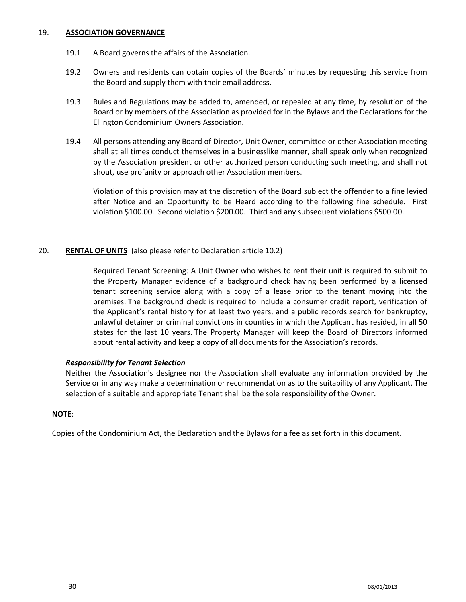#### <span id="page-29-0"></span>19. **ASSOCIATION GOVERNANCE**

- 19.1 A Board governs the affairs of the Association.
- 19.2 Owners and residents can obtain copies of the Boards' minutes by requesting this service from the Board and supply them with their email address.
- 19.3 Rules and Regulations may be added to, amended, or repealed at any time, by resolution of the Board or by members of the Association as provided for in the Bylaws and the Declarations for the Ellington Condominium Owners Association.
- 19.4 All persons attending any Board of Director, Unit Owner, committee or other Association meeting shall at all times conduct themselves in a businesslike manner, shall speak only when recognized by the Association president or other authorized person conducting such meeting, and shall not shout, use profanity or approach other Association members.

Violation of this provision may at the discretion of the Board subject the offender to a fine levied after Notice and an Opportunity to be Heard according to the following fine schedule. First violation \$100.00. Second violation \$200.00. Third and any subsequent violations \$500.00.

# <span id="page-29-1"></span>20. **RENTAL OF UNITS** (also please refer to Declaration article 10.2)

Required Tenant Screening: A Unit Owner who wishes to rent their unit is required to submit to the Property Manager evidence of a background check having been performed by a licensed tenant screening service along with a copy of a lease prior to the tenant moving into the premises. The background check is required to include a consumer credit report, verification of the Applicant's rental history for at least two years, and a public records search for bankruptcy, unlawful detainer or criminal convictions in counties in which the Applicant has resided, in all 50 states for the last 10 years. The Property Manager will keep the Board of Directors informed about rental activity and keep a copy of all documents for the Association's records.

# *Responsibility for Tenant Selection*

Neither the Association's designee nor the Association shall evaluate any information provided by the Service or in any way make a determination or recommendation as to the suitability of any Applicant. The selection of a suitable and appropriate Tenant shall be the sole responsibility of the Owner.

# **NOTE**:

Copies of the Condominium Act, the Declaration and the Bylaws for a fee as set forth in this document.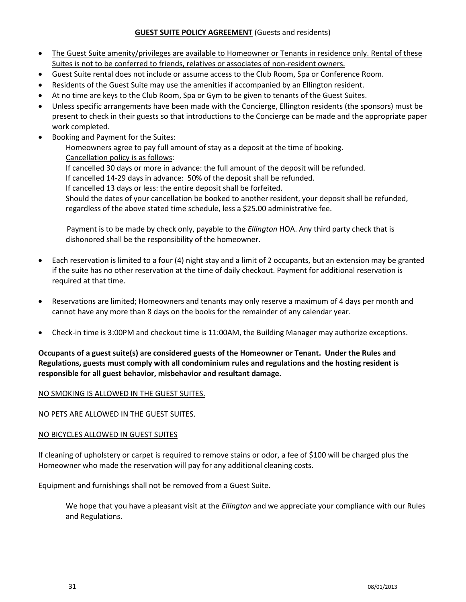# **GUEST SUITE POLICY AGREEMENT** (Guests and residents)

- <span id="page-30-0"></span> The Guest Suite amenity/privileges are available to Homeowner or Tenants in residence only. Rental of these Suites is not to be conferred to friends, relatives or associates of non-resident owners.
- Guest Suite rental does not include or assume access to the Club Room, Spa or Conference Room.
- Residents of the Guest Suite may use the amenities if accompanied by an Ellington resident.
- At no time are keys to the Club Room, Spa or Gym to be given to tenants of the Guest Suites.
- Unless specific arrangements have been made with the Concierge, Ellington residents (the sponsors) must be present to check in their guests so that introductions to the Concierge can be made and the appropriate paper work completed.
- Booking and Payment for the Suites:

Homeowners agree to pay full amount of stay as a deposit at the time of booking. Cancellation policy is as follows:

If cancelled 30 days or more in advance: the full amount of the deposit will be refunded.

If cancelled 14-29 days in advance: 50% of the deposit shall be refunded.

If cancelled 13 days or less: the entire deposit shall be forfeited.

Should the dates of your cancellation be booked to another resident, your deposit shall be refunded, regardless of the above stated time schedule, less a \$25.00 administrative fee.

 Payment is to be made by check only, payable to the *Ellington* HOA. Any third party check that is dishonored shall be the responsibility of the homeowner.

- Each reservation is limited to a four (4) night stay and a limit of 2 occupants, but an extension may be granted if the suite has no other reservation at the time of daily checkout. Payment for additional reservation is required at that time.
- Reservations are limited; Homeowners and tenants may only reserve a maximum of 4 days per month and cannot have any more than 8 days on the books for the remainder of any calendar year.
- Check-in time is 3:00PM and checkout time is 11:00AM, the Building Manager may authorize exceptions.

# **Occupants of a guest suite(s) are considered guests of the Homeowner or Tenant. Under the Rules and Regulations, guests must comply with all condominium rules and regulations and the hosting resident is responsible for all guest behavior, misbehavior and resultant damage.**

# NO SMOKING IS ALLOWED IN THE GUEST SUITES.

# NO PETS ARE ALLOWED IN THE GUEST SUITES.

# NO BICYCLES ALLOWED IN GUEST SUITES

If cleaning of upholstery or carpet is required to remove stains or odor, a fee of \$100 will be charged plus the Homeowner who made the reservation will pay for any additional cleaning costs.

Equipment and furnishings shall not be removed from a Guest Suite.

We hope that you have a pleasant visit at the *Ellington* and we appreciate your compliance with our Rules and Regulations.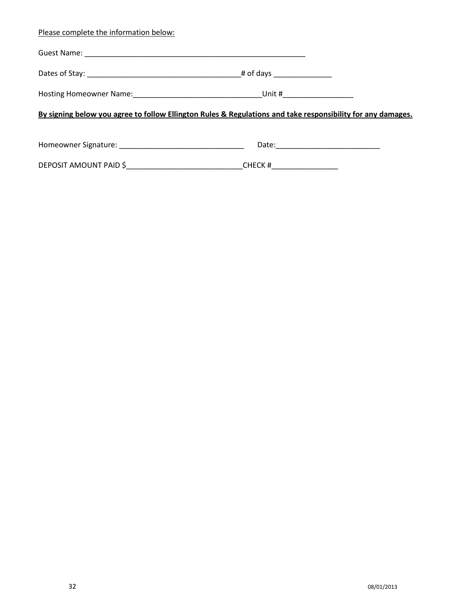| Please complete the information below:                                                                      |                            |  |  |
|-------------------------------------------------------------------------------------------------------------|----------------------------|--|--|
|                                                                                                             |                            |  |  |
|                                                                                                             |                            |  |  |
|                                                                                                             |                            |  |  |
| By signing below you agree to follow Ellington Rules & Regulations and take responsibility for any damages. |                            |  |  |
|                                                                                                             |                            |  |  |
|                                                                                                             | CHECK #___________________ |  |  |